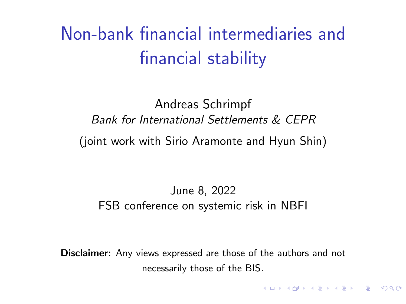<span id="page-0-0"></span>Non-bank financial intermediaries and financial stability

Andreas Schrimpf Bank for International Settlements & CEPR (joint work with Sirio Aramonte and Hyun Shin)

#### June 8, 2022 FSB conference on systemic risk in NBFI

Disclaimer: Any views expressed are those of the authors and not necessarily those of the BIS.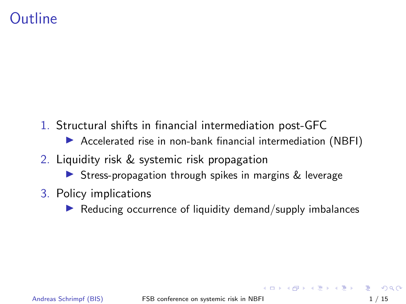#### **Outline**

- 1. Structural shifts in financial intermediation post-GFC
	- ▶ Accelerated rise in non-bank financial intermediation (NBFI)
- 2. Liquidity risk & systemic risk propagation
	- ▶ Stress-propagation through spikes in margins & leverage
- 3. Policy implications
	- Reducing occurrence of liquidity demand/supply imbalances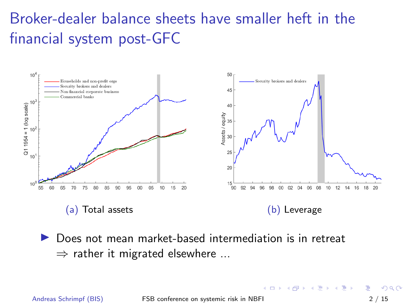# Broker-dealer balance sheets have smaller heft in the financial system post-GFC



▶ Does not mean market-based intermediation is in retreat  $\Rightarrow$  rather it migrated elsewhere ...

Andreas Schrimpf (BIS) [FSB conference on systemic risk in NBFI](#page-0-0) 2 / 15

 $200$ 

イロト イ押ト イヨト イヨト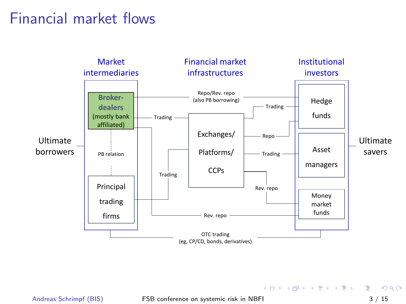#### Financial market flows



Andreas Schrimpf (BIS) [FSB conference on systemic risk in NBFI](#page-0-0) 3 / 15

イロメ イ部 メイミメ イミメー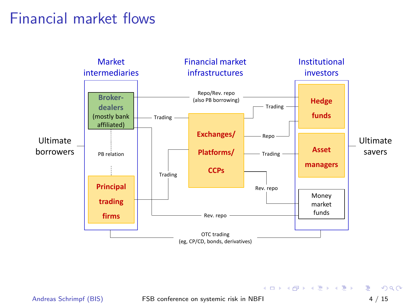#### Financial market flows



Andreas Schrimpf (BIS) [FSB conference on systemic risk in NBFI](#page-0-0) 4 / 15

イロメ イ部メ イヨメ イヨメー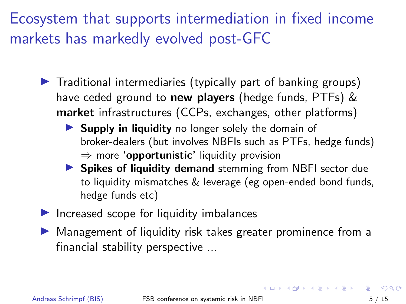Ecosystem that supports intermediation in fixed income markets has markedly evolved post-GFC

- $\triangleright$  Traditional intermediaries (typically part of banking groups) have ceded ground to new players (hedge funds, PTFs) & market infrastructures (CCPs, exchanges, other platforms)
	- ▶ Supply in liquidity no longer solely the domain of broker-dealers (but involves NBFIs such as PTFs, hedge funds)  $\Rightarrow$  more **'opportunistic'** liquidity provision
	- ▶ Spikes of liquidity demand stemming from NBFI sector due to liquidity mismatches & leverage (eg open-ended bond funds, hedge funds etc)
- $\blacktriangleright$  Increased scope for liquidity imbalances
- ▶ Management of liquidity risk takes greater prominence from a financial stability perspective ...

 $\Omega$ 

**K ロ ト K 何 ト K ヨ ト K ヨ ト**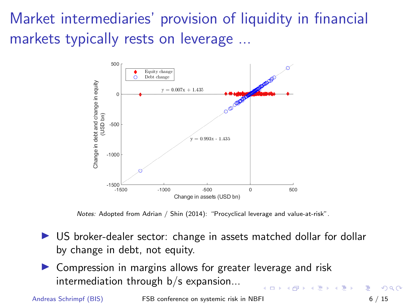Market intermediaries' provision of liquidity in financial markets typically rests on leverage ...



Notes: Adopted from Adrian / Shin (2014): "Procyclical leverage and value-at-risk".

- ▶ US broker-dealer sector: change in assets matched dollar for dollar by change in debt, not equity.
- Compression in margins allows for greater leverage and risk intermediation through b/s expansion...

Andreas Schrimpf (BIS) [FSB conference on systemic risk in NBFI](#page-0-0) 6 / 15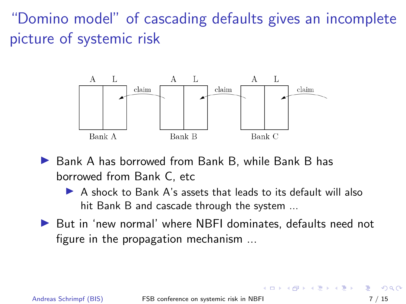"Domino model" of cascading defaults gives an incomplete picture of systemic risk

![](_page_7_Figure_1.jpeg)

- ▶ Bank A has borrowed from Bank B, while Bank B has borrowed from Bank C, etc
	- ▶ A shock to Bank A's assets that leads to its default will also hit Bank B and cascade through the system ...
- ▶ But in 'new normal' where NBFI dominates, defaults need not figure in the propagation mechanism ...

∢何 ▶ ∢ ヨ ▶ ∢ ヨ ▶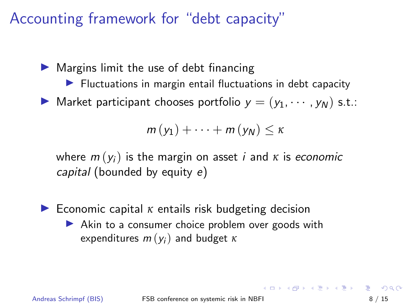## Accounting framework for "debt capacity"

 $\blacktriangleright$  Margins limit the use of debt financing

- $\blacktriangleright$  Fluctuations in margin entail fluctuations in debt capacity
- $\blacktriangleright$  Market participant chooses portfolio  $y = (y_1, \dots, y_N)$  s.t.:

$$
m(y_1)+\cdots+m(y_N)\leq \kappa
$$

where  $m(y_i)$  is the margin on asset *i* and  $\kappa$  is economic capital (bounded by equity e)

▶ Economic capital *<sup>κ</sup>* entails risk budgeting decision ▶ Akin to a consumer choice problem over goods with expenditures  $m(y_i)$  and budget  $\kappa$ 

**KORK EXTERNS ORA**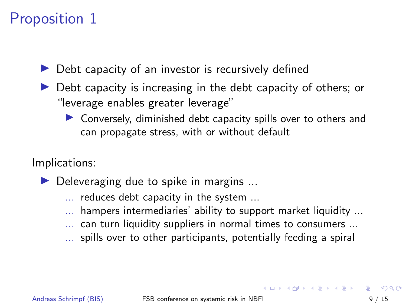## Proposition 1

▶ Debt capacity of an investor is recursively defined

- ▶ Debt capacity is increasing in the debt capacity of others; or "leverage enables greater leverage"
	- ▶ Conversely, diminished debt capacity spills over to others and can propagate stress, with or without default

Implications:

- $\blacktriangleright$  Deleveraging due to spike in margins ...
	- ... reduces debt capacity in the system ...
	- ... hampers intermediaries' ability to support market liquidity ...
	- ... can turn liquidity suppliers in normal times to consumers ...
	- ... spills over to other participants, potentially feeding a spiral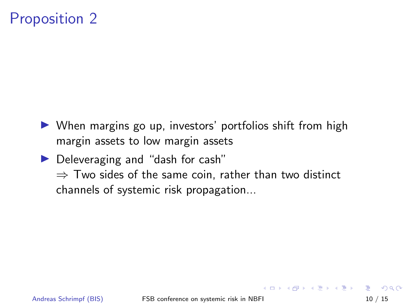## Proposition 2

- ▶ When margins go up, investors' portfolios shift from high margin assets to low margin assets
- ▶ Deleveraging and "dash for cash"  $\Rightarrow$  Two sides of the same coin, rather than two distinct channels of systemic risk propagation...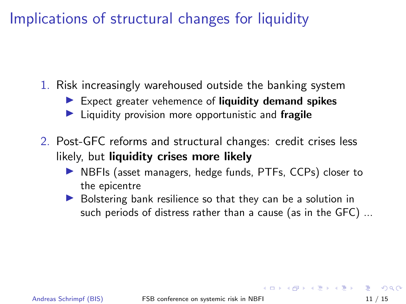## Implications of structural changes for liquidity

- 1. Risk increasingly warehoused outside the banking system
	- $\blacktriangleright$  Expect greater vehemence of liquidity demand spikes
	- Liquidity provision more opportunistic and fragile
- 2. Post-GFC reforms and structural changes: credit crises less likely, but liquidity crises more likely
	- ▶ NBFIs (asset managers, hedge funds, PTFs, CCPs) closer to the epicentre
	- ▶ Bolstering bank resilience so that they can be a solution in such periods of distress rather than a cause (as in the GFC) ...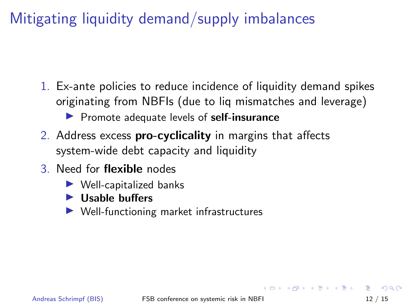## Mitigating liquidity demand/supply imbalances

- 1. Ex-ante policies to reduce incidence of liquidity demand spikes originating from NBFIs (due to liq mismatches and leverage) ▶ Promote adequate levels of self-insurance
- 2. Address excess **pro-cyclicality** in margins that affects system-wide debt capacity and liquidity
- 3. Need for flexible nodes
	- $\blacktriangleright$  Well-capitalized banks
	- $\blacktriangleright$  Usable buffers
	- ▶ Well-functioning market infrastructures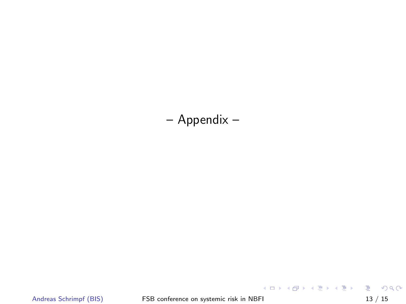– Appendix –

Andreas Schrimpf (BIS) [FSB conference on systemic risk in NBFI](#page-0-0) 13 / 15

K ロ K K 레 K K B K K B X X A K K K K K K K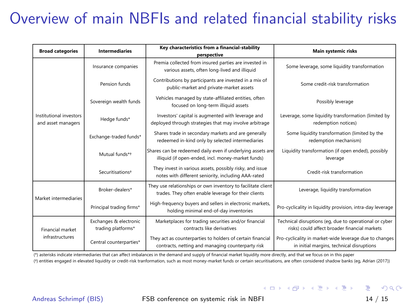## Overview of main NBFIs and related financial stability risks

| <b>Broad categories</b>                       | <b>Intermediaries</b>                        | Key characteristics from a financial-stability<br>perspective                                                        | Main systemic risks                                                                                     |
|-----------------------------------------------|----------------------------------------------|----------------------------------------------------------------------------------------------------------------------|---------------------------------------------------------------------------------------------------------|
| Institutional investors<br>and asset managers | Insurance companies                          | Premia collected from insured parties are invested in<br>various assets, often long-lived and illiquid               | Some leverage, some liquidity transformation                                                            |
|                                               | Pension funds                                | Contributions by participants are invested in a mix of<br>public-market and private-market assets                    | Some credit-risk transformation                                                                         |
|                                               | Sovereign wealth funds                       | Vehicles managed by state-affiliated entities, often<br>focused on long-term illiquid assets                         | Possibly leverage                                                                                       |
|                                               | Hedge funds*                                 | Investors' capital is augmented with leverage and<br>deployed through strategies that may involve arbitrage          | Leverage, some liquidity transformation (limited by<br>redemption notices)                              |
|                                               | Exchange-traded funds*                       | Shares trade in secondary markets and are generally<br>redeemed in-kind only by selected intermediaries              | Some liquidity transformation (limited by the<br>redemption mechanism)                                  |
|                                               | Mutual funds*+                               | Shares can be redeemed daily even if underlying assets are<br>illiquid (if open-ended, incl. money-market funds)     | Liquidity transformation (if open ended), possibly<br>leverage                                          |
|                                               | Securitisations <sup>+</sup>                 | They invest in various assets, possibly risky, and issue<br>notes with different seniority, including AAA-rated      | Credit-risk transformation                                                                              |
| Market intermediaries                         | Broker-dealers*                              | They use relationships or own inventory to facilitate client<br>trades. They often enable leverage for their clients | Leverage, liquidity transformation                                                                      |
|                                               | Principal trading firms*                     | High-frequency buyers and sellers in electronic markets,<br>holding minimal end-of-day inventories                   | Pro-cyclicality in liquidity provision, intra-day leverage                                              |
| Financial market<br>infrastructures           | Exchanges & electronic<br>trading platforms* | Marketplaces for trading securities and/or financial<br>contracts like derivatives                                   | Technical disruptions (eq, due to operational or cyber<br>risks) could affect broader financial markets |
|                                               | Central counterparties*                      | They act as counterparties to holders of certain financial<br>contracts, netting and managing counterparty risk      | Pro-cyclicality in market-wide leverage due to changes<br>in initial margins, technical disruptions     |

(†) entities engaged in elevated liquidity or credit-risk tranformation, such as most money-market funds or certain securitisations, are often considered shadow banks (eg, Adrian (2017)) (\*) asterisks indicate intermediaries that can affect imbalances in the demand and supply of financial market liquidity more directly, and that we focus on in this paper

K ロ ▶ K 個 ▶ K 로 ▶ K 로 ▶ - 로 - K 9 Q @